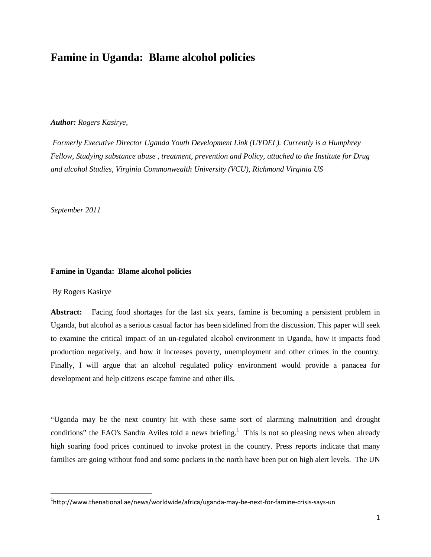## **Famine in Uganda: Blame alcohol policies**

## *Author: Rogers Kasirye,*

*Formerly Executive Director Uganda Youth Development Link (UYDEL). Currently is a Humphrey Fellow, Studying substance abuse , treatment, prevention and Policy, attached to the Institute for Drug and alcohol Studies, Virginia Commonwealth University (VCU), Richmond Virginia US*

*September 2011*

## **Famine in Uganda: Blame alcohol policies**

By Rogers Kasirye

**Abstract:** Facing food shortages for the last six years, famine is becoming a persistent problem in Uganda, but alcohol as a serious casual factor has been sidelined from the discussion. This paper will seek to examine the critical impact of an un-regulated alcohol environment in Uganda, how it impacts food production negatively, and how it increases poverty, unemployment and other crimes in the country. Finally, I will argue that an alcohol regulated policy environment would provide a panacea for development and help citizens escape famine and other ills.

"Uganda may be the next country hit with these same sort of alarming malnutrition and drought conditions" the FAO's Sandra Aviles told a news briefing.<sup>[1](#page-0-0)</sup> This is not so pleasing news when already high soaring food prices continued to invoke protest in the country. Press reports indicate that many families are going without food and some pockets in the north have been put on high alert levels. The UN

<span id="page-0-0"></span><sup>&</sup>lt;sup>1</sup>http://www.thenational.ae/news/worldwide/africa/uganda-may-be-next-for-famine-crisis-says-un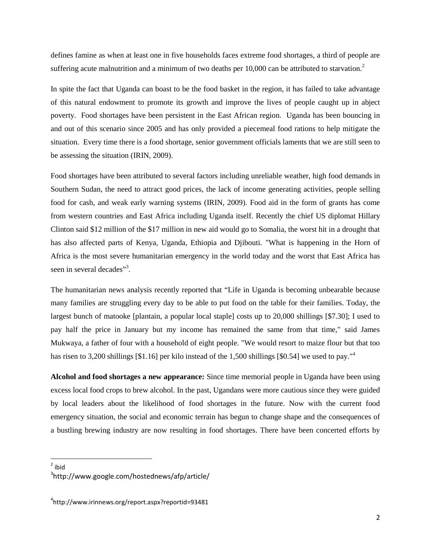defines famine as when at least one in five households faces extreme food shortages, a third of people are suffering acute malnutrition and a minimum of two deaths per  $10,000$  can be attributed to starvation.<sup>[2](#page-1-0)</sup>

In spite the fact that Uganda can boast to be the food basket in the region, it has failed to take advantage of this natural endowment to promote its growth and improve the lives of people caught up in abject poverty. Food shortages have been persistent in the East African region. Uganda has been bouncing in and out of this scenario since 2005 and has only provided a piecemeal food rations to help mitigate the situation. Every time there is a food shortage, senior government officials laments that we are still seen to be assessing the situation (IRIN, 2009).

Food shortages have been attributed to several factors including unreliable weather, high food demands in Southern Sudan, the need to attract good prices, the lack of income generating activities, people selling food for cash, and weak early warning systems (IRIN, 2009). Food aid in the form of grants has come from western countries and East Africa including Uganda itself. Recently the chief US diplomat Hillary Clinton said \$12 million of the \$17 million in new aid would go to Somalia, the worst hit in a drought that has also affected parts of Kenya, Uganda, Ethiopia and Djibouti. "What is happening in the Horn of Africa is the most severe humanitarian emergency in the world today and the worst that East Africa has seen in several decades"<sup>3</sup>[.](#page-1-1)

The humanitarian news analysis recently reported that "Life in Uganda is becoming unbearable because many families are struggling every day to be able to put food on the table for their families. Today, the largest bunch of matooke [plantain, a popular local staple] costs up to 20,000 shillings [\$7.30]; I used to pay half the price in January but my income has remained the same from that time," said James Mukwaya, a father of four with a household of eight people. "We would resort to maize flour but that too hasrisen to 3,200 shillings [\$1.16] per kilo instead of the 1,500 shillings [\$0.54] we used to pay.["](#page-1-2)<sup>4</sup>

**Alcohol and food shortages a new appearance:** Since time memorial people in Uganda have been using excess local food crops to brew alcohol. In the past, Ugandans were more cautious since they were guided by local leaders about the likelihood of food shortages in the future. Now with the current food emergency situation, the social and economic terrain has begun to change shape and the consequences of a bustling brewing industry are now resulting in food shortages. There have been concerted efforts by

<span id="page-1-1"></span><span id="page-1-0"></span><sup>2</sup> ibid

<sup>3</sup> http://www.google.com/hostednews/afp/article/

<span id="page-1-2"></span><sup>4</sup> http://www.irinnews.org/report.aspx?reportid=93481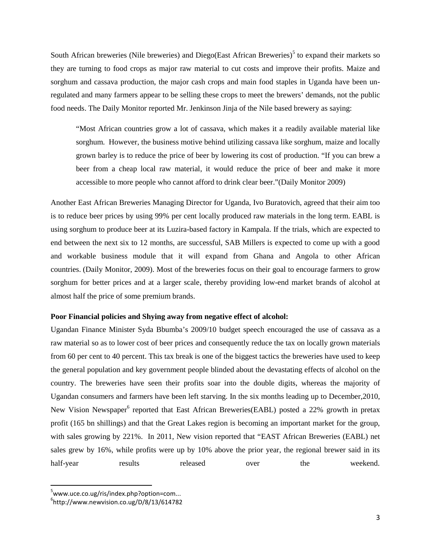South African breweries (Nile breweries) and Diego(East African Breweries)<sup>[5](#page-2-0)</sup> to expand their markets so they are turning to food crops as major raw material to cut costs and improve their profits. Maize and sorghum and cassava production, the major cash crops and main food staples in Uganda have been unregulated and many farmers appear to be selling these crops to meet the brewers' demands, not the public food needs. The Daily Monitor reported Mr. Jenkinson Jinja of the Nile based brewery as saying:

"Most African countries grow a lot of cassava, which makes it a readily available material like sorghum. However, the business motive behind utilizing cassava like sorghum, maize and locally grown barley is to reduce the price of beer by lowering its cost of production. "If you can brew a beer from a cheap local raw material, it would reduce the price of beer and make it more accessible to more people who cannot afford to drink clear beer."(Daily Monitor 2009)

Another East African Breweries Managing Director for Uganda, Ivo Buratovich, agreed that their aim too is to reduce beer prices by using 99% per cent locally produced raw materials in the long term. EABL is using sorghum to produce beer at its Luzira-based factory in Kampala. If the trials, which are expected to end between the next six to 12 months, are successful, SAB Millers is expected to come up with a good and workable business module that it will expand from Ghana and Angola to other African countries. (Daily Monitor, 2009). Most of the breweries focus on their goal to encourage farmers to grow sorghum for better prices and at a larger scale, thereby providing low-end market brands of alcohol at almost half the price of some premium brands.

## **Poor Financial policies and Shying away from negative effect of alcohol:**

Ugandan Finance Minister Syda Bbumba's 2009/10 budget speech encouraged the use of cassava as a raw material so as to lower cost of beer prices and consequently reduce the tax on locally grown materials from 60 per cent to 40 percent. This tax break is one of the biggest tactics the breweries have used to keep the general population and key government people blinded about the devastating effects of alcohol on the country. The breweries have seen their profits soar into the double digits, whereas the majority of Ugandan consumers and farmers have been left starving. In the six months leading up to December,2010, New Vision Newspaper<sup>[6](#page-2-1)</sup> reported that East African Breweries(EABL) posted a 22% growth in pretax profit (165 bn shillings) and that the Great Lakes region is becoming an important market for the group, with sales growing by 221%. In 2011, New vision reported that "EAST African Breweries (EABL) net sales grew by 16%, while profits were up by 10% above the prior year, the regional brewer said in its half-year results released over the weekend.

<span id="page-2-1"></span><span id="page-2-0"></span><sup>&</sup>lt;sup>5</sup>www.uce.co.ug/ris/index.php?option=com...

 $^6$ http://www.newvision.co.ug/D/8/13/614782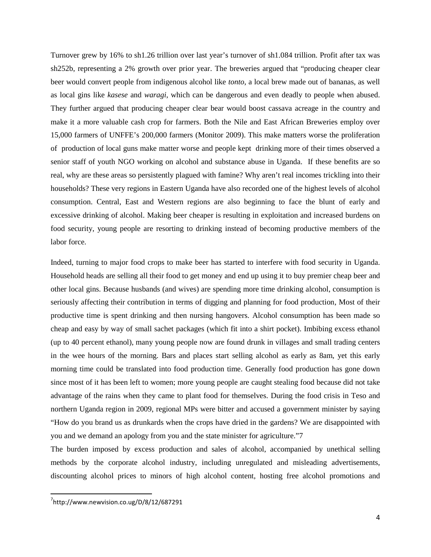Turnover grew by 16% to sh1.26 trillion over last year's turnover of sh1.084 trillion. Profit after tax was sh252b, representing a 2% growth over prior year. The breweries argued that "producing cheaper clear beer would convert people from indigenous alcohol like *tonto*, a local brew made out of bananas, as well as local gins like *kasese* and *waragi*, which can be dangerous and even deadly to people when abused. They further argued that producing cheaper clear bear would boost cassava acreage in the country and make it a more valuable cash crop for farmers. Both the Nile and East African Breweries employ over 15,000 farmers of UNFFE's 200,000 farmers (Monitor 2009). This make matters worse the proliferation of production of local guns make matter worse and people kept drinking more of their times observed a senior staff of youth NGO working on alcohol and substance abuse in Uganda. If these benefits are so real, why are these areas so persistently plagued with famine? Why aren't real incomes trickling into their households? These very regions in Eastern Uganda have also recorded one of the highest levels of alcohol consumption. Central, East and Western regions are also beginning to face the blunt of early and excessive drinking of alcohol. Making beer cheaper is resulting in exploitation and increased burdens on food security, young people are resorting to drinking instead of becoming productive members of the labor force.

Indeed, turning to major food crops to make beer has started to interfere with food security in Uganda. Household heads are selling all their food to get money and end up using it to buy premier cheap beer and other local gins. Because husbands (and wives) are spending more time drinking alcohol, consumption is seriously affecting their contribution in terms of digging and planning for food production, Most of their productive time is spent drinking and then nursing hangovers. Alcohol consumption has been made so cheap and easy by way of small sachet packages (which fit into a shirt pocket). Imbibing excess ethanol (up to 40 percent ethanol), many young people now are found drunk in villages and small trading centers in the wee hours of the morning. Bars and places start selling alcohol as early as 8am, yet this early morning time could be translated into food production time. Generally food production has gone down since most of it has been left to women; more young people are caught stealing food because did not take advantage of the rains when they came to plant food for themselves. During the food crisis in Teso and northern Uganda region in 2009, regional MPs were bitter and accused a government minister by saying "How do you brand us as drunkards when the crops have dried in the gardens? We are disappointed with you and we demand an apology from you and the state minister for agriculture."[7](#page-3-0)

The burden imposed by excess production and sales of alcohol, accompanied by unethical selling methods by the corporate alcohol industry, including unregulated and misleading advertisements, discounting alcohol prices to minors of high alcohol content, hosting free alcohol promotions and

<span id="page-3-0"></span> $^{7}$ http://www.newvision.co.ug/D/8/12/687291